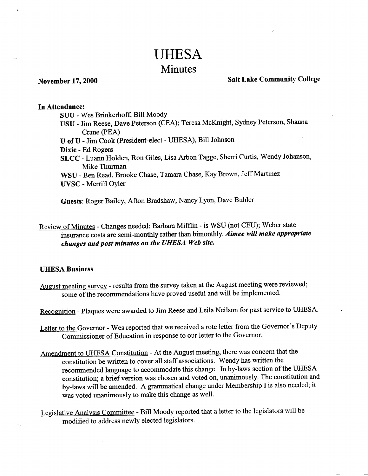# UHESA Minutes

## **November** 17,**2000 Salt Lake Community College**

#### **In Attendance:**

SUU - Wes Brinkerhoff, Bill Moody

USU - Jim Reese, Dave Peterson (CEA); Teresa McKnight, Sydney Peterson, Shauna Crane (PEA)

U of U - Jim Cook (President-elect - UHESA), Bill Johnson

**Dixie** - Ed Rogers

**SLCC** - Luann Holden, Ron Giles, Lisa Arbon Tagge, Sherri Curtis, Wendy Johanson, Mike Thurman

WSU - Ben Read, Brooke Chase, Tamara Chase, Kay Brown, Jeff Martinez **UVSC** - Merrill Oyler

**Guests:** Roger Bailey, Afton Bradshaw, Nancy Lyon, Dave Buhler

Review of Minutes - Changes needed: Barbara Mifflin - is WSU (not CEU); Weber state insurance costs are semi-monthly rather than bimonthly. *Aimee will make appropriate changes and post minutes on the UHESA Web site.*

#### **UHESA Business**

August meeting survey - results from the survey taken at the August meeting were reviewed; some of the recommendations have proved useful and will be implemented.

Recognition - Plaques were awarded to Jim Reese and Leila Neilson for past service to UHESA.

Letter to the Governor - Wes reported that we received a rote letter from the Governor's Deputy Commissioner of Education in response to our letter to the Governor.

- Amendment to UHESA Constitution At the August meeting, there was concern that the constitution be written to cover all staff associations. Wendy has written the recommended language to accommodate this change. In by-laws section of the UHESA constitution; a brief version was chosen and voted on, unanimously. The constitution and by-laws will be amended. A grammatical change under Membership I is also needed; it was voted unanimously to make this change as well.
- Legislative Analysis Committee Bill Moody reported that a letter to the legislators will be modified to address newly elected legislators.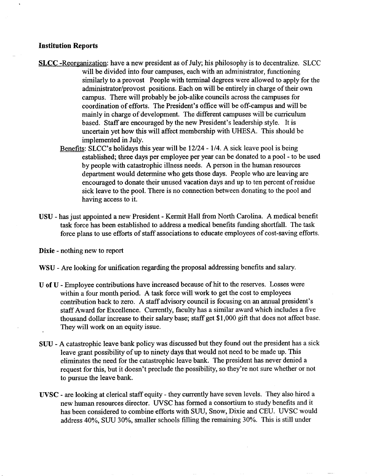#### **Institution Reports**

- **SLCC** -Reorganization: have a new president as of July; his philosophy is to decentralize. SLCC will be divided into four campuses, each with an administrator, functioning similarly to a provost People with terminal degrees were allowed to apply for the administrator/provost positions. Each on will be entirely in charge of their own campus. There will probably be job-alike councils across the campuses for coordination of efforts. The President's office will be off-campus and will be mainly in charge of development. The different campuses will be curriculum based. Staff are encouraged by the new President's leadership style. It is uncertain yet how this will affect membership with UHESA. This should be implemented in July.
	- Benefits: SLCC's holidays this year will be 12/24 1/4. A sick leave pool is being established; three days per employee per year can be donated to a pool - to be used by people with catastrophic illness needs. A person in the human resources department would determine who gets those days. People who are leaving are encouraged to donate their unused vacation days and up to ten percent of residue sick leave to the pool. There is no connection between donating to the pool and having access to it.
- USU has just appointed a new President Kermit Hall from North Carolina. A medical benefit task force has been established to address a medical benefits funding shortfall. The task force plans to use efforts of staff associations to educate employees of cost-saving efforts.

**Dixie** - nothing new to report

- WSU Are looking for unification regarding the proposal addressing benefits and salary.
- U of U Employee contributions have increased because of hit to the reserves. Losses were within a four month period. A task force will work to get the cost to employees contribution back to zero. A staff advisory council is focusing on an annual president's staff Award for Excellence. Currently, faculty has a similar award which includes a five thousand dollar increase to their salary base; staff get \$1,000 gift that does not affect base. They will work on an equity issue.
- SUU A catastrophic leave bank policy was discussed but they found out the president has a sick leave grant possibility of up to ninety days that would not need to be made up. This eliminates the need for the catastrophic leave bank. The president has never denied a request for this, but it doesn't preclude the possibility, so they're not sure whether or not to pursue the leave bank.
- **UVSC** are looking at clerical staff equity they currently have seven levels. They also hired a new human resources director. UVSC has formed a consortium to study benefits and it has been considered to combine efforts with SUU, Snow, Dixie and CEU. UVSC would address 40%, SUU 30%, smaller schools filling the remaining 30%. This is still under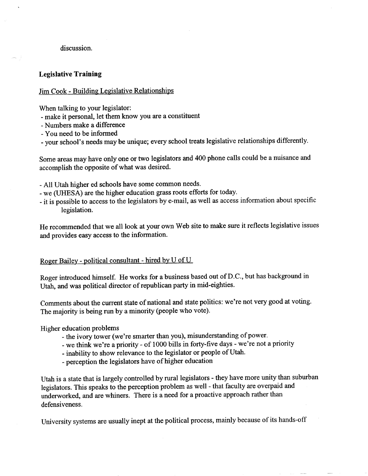#### discussion.

#### **Legislative Training**

#### Jim Cook - Building Legislative Relationships

When talking to your legislator:

- make it personal, let them know you are a constituent
- Numbers make a difference
- You need to be informed
- your school's needs maybe unique; every school treats legislative relationships differently.

Some areas may have only one or two legislators and 400 phone calls could be a nuisance and accomplish the opposite of what was desired.

- All Utah higher ed schools have some common needs.
- we (UHESA) are the higher education grass roots efforts for today.
- it is possible to access to the legislators by e-mail, as well as access information about specific legislation.

He recommended that we all look at your own Web site to make sure it reflects legislative issues and provides easy access to the information.

### Roger Bailey - political consultant - hired by U of U

Roger introduced himself. He works for a business based out of D.C., but has background in Utah, and was political director of republican party in mid-eighties.

Comments about the current state of national and state politics: we're not very good at voting. The majority is being run by a minority (people who vote).

Higher education problems

- the ivory tower (we're smarter than you), misunderstanding of power.
- we think we're a priority of 1000 bills in forty-five days we're not a priority
- inability to show relevance to the legislator or people of Utah.
- perception the legislators have of higher education

Utah is a state that is largely controlled by rural legislators - they have more unity than suburban legislators. This speaks to the perception problem as well - that faculty are overpaid and underworked, and are whiners. There is a need for a proactive approach rather than defensiveness.

University systems are usually inept at the political process, mainly because of its hands-off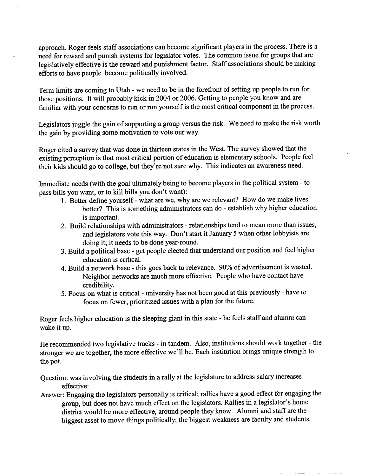approach. Roger feels staff associations can become significant players in the process. There is a need for reward and punish systems for legislator votes. The common issue for groups that are legislatively effective is the reward and punishment factor. Staff associations should be making efforts to have people become politically involved.

Term limits are coming to Utah - we need to be in the forefront of setting up people to run for those positions. It will probably kick in 2004 or 2006. Getting to people you know and are familiar with your concerns to run or run yourself is the most critical component in the process.

Legislators juggle the gain of supporting a group versus the risk. We need to make the risk worth the gain by providing some motivation to vote our way.

Roger cited a survey that was done in thirteen states in the West. The survey showed that the existing perception is that most critical portion of education is elementary schools. People feel their kids should go to college, but they're not sure why. This indicates an awareness need.

Immediate needs (with the goal ultimately being to become players in the political system - to pass bills you want, or to kill bills you don't want):

- 1. Better define yourself-what are we, why are we relevant? How do we make lives better? This is something administrators can do - establish why higher education is important.
- 2. Build relationships with administrators relationships tend to mean more than issues, and legislators vote this way. Don't start it January 5 when other lobbyists are doing it; it needs to be done year-round.
- 3. Build a political base get people elected that understand our position and feel higher education is critical.
- 4. Build a network base this goes back to relevance. 90% of advertisement is wasted. Neighbor networks are much more effective. People who have contact have credibility.
- 5. Focus on what is critical university has not been good at this previously have to focus on fewer, prioritized issues with a plan for the future.

Roger feels higher education is the sleeping giant in this state - he feels staff and alumni can wake it up.

He recommended two legislative tracks - in tandem. Also, institutions should work together - the stronger we are together, the more effective we'll be. Each institution brings unique strength to the pot.

Question: was involving the students in a rally at the legislature to address salary increases effective:

Answer: Engaging the legislators personally is critical; rallies have a good effect for engaging the group, but does not have much effect on the legislators. Rallies in a legislator's home district would be more effective, around people they know. Alumni and staff are the biggest asset to move things politically; the biggest weakness are faculty and students.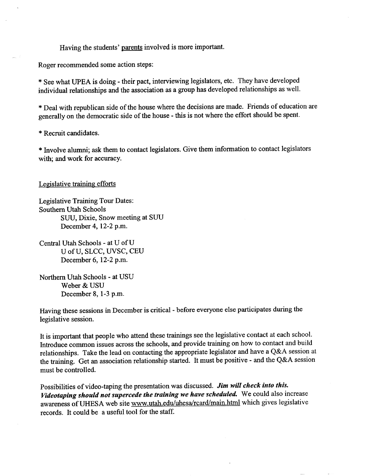Having the students' parents involved is more important.

Roger recommended some action steps:

\* See what UPEA is doing - their pact, interviewing legislators, etc. They have developed individual relationships and the association as a group has developed relationships as well.

\* Deal with republican side of the house where the decisions are made. Friends of education are generally on the democratic side of the house - this is not where the effort should be spent.

\* Recruit candidates.

\* Involve alumni; ask them to contact legislators. Give them information to contact legislators with; and work for accuracy.

Legislative training efforts

Legislative Training Tour Dates: Southern Utah Schools SUU, Dixie, Snow meeting at SUU December 4, 12-2 p.m.

Central Utah Schools - at U of U U of U, SLCC, UVSC, CEU December 6,12-2 p.m.

Northern Utah Schools - at USU Weber & USU December 8,1-3 p.m.

Having these sessions in December is critical - before everyone else participates during the legislative session.

It is important that people who attend these trainings see the legislative contact at each school. Introduce common issues across the schools, and provide training on how to contact and build relationships. Take the lead on contacting the appropriate legislator and have a Q&A session at the training. Get an association relationship started. It must be positive - and the Q&A session must be controlled.

Possibilities of video-taping the presentation was discussed. *Jim will check into this. Videotaping should not supercede the training we have scheduled.* We could also increase awareness of UHESA web site www.utah.edu/uhesa/rcard/main.html which gives legislative records. It could be a useful tool for the staff.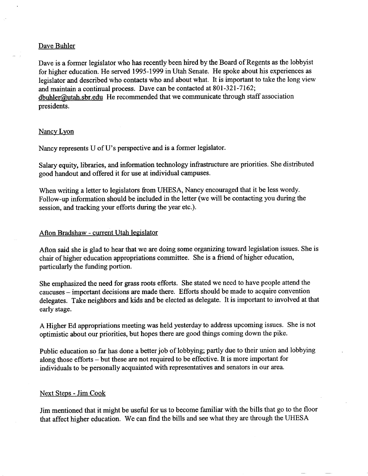#### Dave Buhler

Dave is a former legislator who has recently been hired by the Board of Regents as the lobbyist for higher education. He served 1995-1999 in Utah Senate. He spoke about his experiences as legislator and described who contacts who and about what. It is important to take the long view and maintain a continual process. Dave can be contacted at 801-321-7162;  $dbuhler@utah.sbr.edu$  He recommended that we communicate through staff association presidents.

#### Nancv Lvon

Nancy represents U of U's perspective and is a former legislator.

Salary equity, libraries, and information technology infrastructure are priorities. She distributed good handout and offered it for use at individual campuses.

When writing a letter to legislators from UHESA, Nancy encouraged that it be less wordy. Follow-up information should be included in the letter (we will be contacting you during the session, and tracking your efforts during the year etc.).

#### Afton Bradshaw - current Utah legislator

Afton said she is glad to hear that we are doing some organizing toward legislation issues. She is chair of higher education appropriations committee. She is a friend of higher education, particularly the funding portion.

She emphasized the need for grass roots efforts. She stated we need to have people attend the caucuses — important decisions are made there. Efforts should be made to acquire convention delegates. Take neighbors and kids and be elected as delegate. It is important to involved at that early stage.

A Higher Ed appropriations meeting was held yesterday to address upcoming issues. She is not optimistic about our priorities, but hopes there are good things coming down the pike.

Public education so far has done a better job of lobbying; partly due to their union and lobbying along those efforts - but these are not required to be effective. It is more important for individuals to be personally acquainted with representatives and senators in our area.

#### Next Steps - Jim Cook

Jim mentioned that it might be useful for us to become familiar with the bills that go to the floor that affect higher education. We can find the bills and see what they are through the UHES A